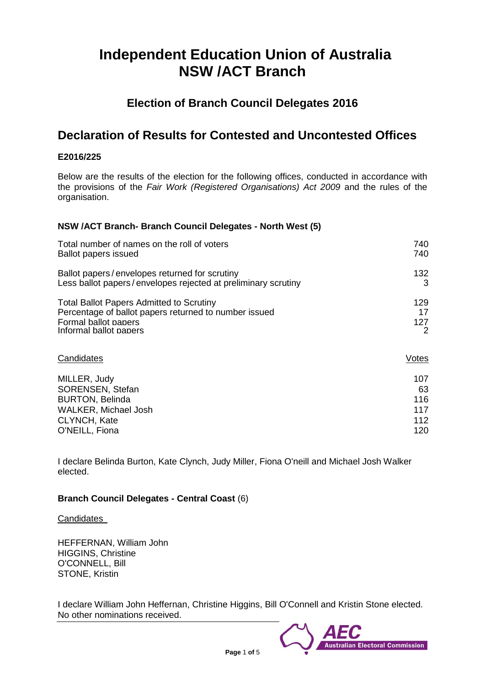# **Independent Education Union of Australia NSW /ACT Branch**

## **Election of Branch Council Delegates 2016**

## **Declaration of Results for Contested and Uncontested Offices**

## **E2016/225**

Below are the results of the election for the following offices, conducted in accordance with the provisions of the *Fair Work (Registered Organisations) Act 2009* and the rules of the organisation.

## **NSW /ACT Branch- Branch Council Delegates - North West (5)**

| Total number of names on the roll of voters                   | 740   |
|---------------------------------------------------------------|-------|
| <b>Ballot papers issued</b>                                   | 740   |
| Ballot papers/envelopes returned for scrutiny                 | 132   |
| Less ballot papers/envelopes rejected at preliminary scrutiny | 3     |
| <b>Total Ballot Papers Admitted to Scrutiny</b>               | 129   |
| Percentage of ballot papers returned to number issued         | 17    |
| Formal ballot papers                                          | 127   |
| Informal ballot papers                                        | 2     |
| Candidates                                                    | Votes |
| MILLER, Judy                                                  | 107   |
| SORENSEN, Stefan                                              | 63    |
| <b>BURTON, Belinda</b>                                        | 116   |
| <b>WALKER, Michael Josh</b>                                   | 117   |
| CLYNCH, Kate                                                  | 112   |
| O'NEILL, Fiona                                                | 120   |

I declare Belinda Burton, Kate Clynch, Judy Miller, Fiona O'neill and Michael Josh Walker elected.

## **Branch Council Delegates - Central Coast** (6)

Candidates

HEFFERNAN, William John HIGGINS, Christine O'CONNELL, Bill STONE, Kristin

I declare William John Heffernan, Christine Higgins, Bill O'Connell and Kristin Stone elected. No other nominations received.

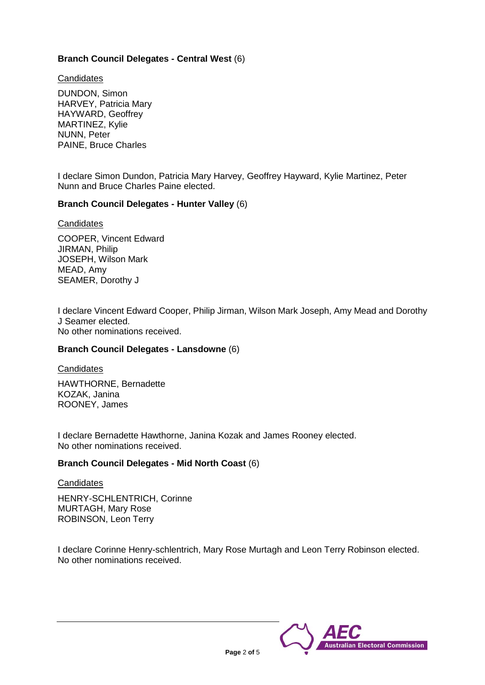## **Branch Council Delegates - Central West** (6)

**Candidates** 

DUNDON, Simon HARVEY, Patricia Mary HAYWARD, Geoffrey MARTINEZ, Kylie NUNN, Peter PAINE, Bruce Charles

I declare Simon Dundon, Patricia Mary Harvey, Geoffrey Hayward, Kylie Martinez, Peter Nunn and Bruce Charles Paine elected.

## **Branch Council Delegates - Hunter Valley** (6)

**Candidates** 

COOPER, Vincent Edward JIRMAN, Philip JOSEPH, Wilson Mark MEAD, Amy SEAMER, Dorothy J

I declare Vincent Edward Cooper, Philip Jirman, Wilson Mark Joseph, Amy Mead and Dorothy J Seamer elected. No other nominations received.

#### **Branch Council Delegates - Lansdowne** (6)

**Candidates** 

HAWTHORNE, Bernadette KOZAK, Janina ROONEY, James

I declare Bernadette Hawthorne, Janina Kozak and James Rooney elected. No other nominations received.

#### **Branch Council Delegates - Mid North Coast** (6)

#### **Candidates**

HENRY-SCHLENTRICH, Corinne MURTAGH, Mary Rose ROBINSON, Leon Terry

I declare Corinne Henry-schlentrich, Mary Rose Murtagh and Leon Terry Robinson elected. No other nominations received.

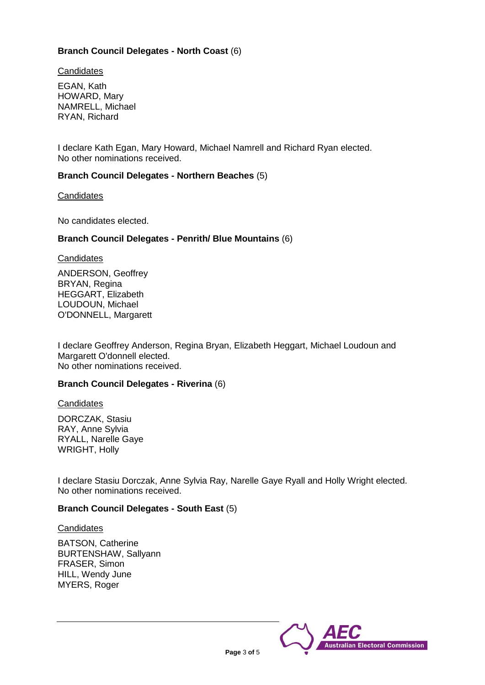## **Branch Council Delegates - North Coast** (6)

**Candidates** 

EGAN, Kath HOWARD, Mary NAMRELL, Michael RYAN, Richard

I declare Kath Egan, Mary Howard, Michael Namrell and Richard Ryan elected. No other nominations received.

## **Branch Council Delegates - Northern Beaches** (5)

**Candidates** 

No candidates elected.

## **Branch Council Delegates - Penrith/ Blue Mountains** (6)

**Candidates** 

ANDERSON, Geoffrey BRYAN, Regina HEGGART, Elizabeth LOUDOUN, Michael O'DONNELL, Margarett

I declare Geoffrey Anderson, Regina Bryan, Elizabeth Heggart, Michael Loudoun and Margarett O'donnell elected. No other nominations received.

## **Branch Council Delegates - Riverina** (6)

**Candidates** 

DORCZAK, Stasiu RAY, Anne Sylvia RYALL, Narelle Gaye WRIGHT, Holly

I declare Stasiu Dorczak, Anne Sylvia Ray, Narelle Gaye Ryall and Holly Wright elected. No other nominations received.

## **Branch Council Delegates - South East** (5)

**Candidates** 

BATSON, Catherine BURTENSHAW, Sallyann FRASER, Simon HILL, Wendy June MYERS, Roger

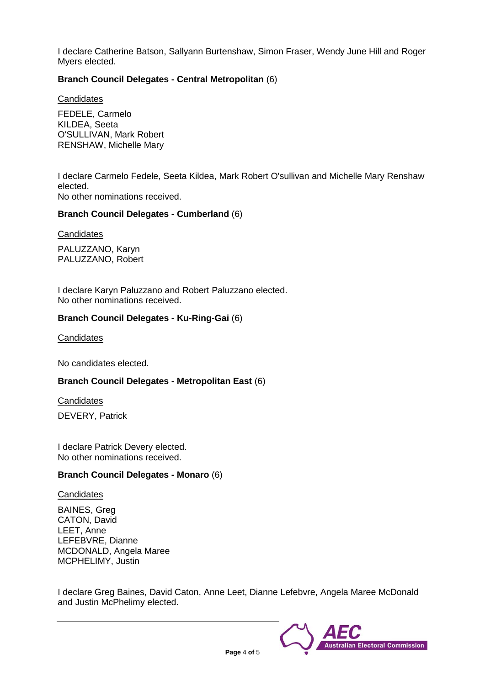I declare Catherine Batson, Sallyann Burtenshaw, Simon Fraser, Wendy June Hill and Roger Myers elected.

## **Branch Council Delegates - Central Metropolitan** (6)

**Candidates** 

FEDELE, Carmelo KILDEA, Seeta O'SULLIVAN, Mark Robert RENSHAW, Michelle Mary

I declare Carmelo Fedele, Seeta Kildea, Mark Robert O'sullivan and Michelle Mary Renshaw elected. No other nominations received.

#### **Branch Council Delegates - Cumberland** (6)

**Candidates** 

PALUZZANO, Karyn PALUZZANO, Robert

I declare Karyn Paluzzano and Robert Paluzzano elected. No other nominations received.

#### **Branch Council Delegates - Ku-Ring-Gai** (6)

**Candidates** 

No candidates elected.

### **Branch Council Delegates - Metropolitan East** (6)

**Candidates** 

DEVERY, Patrick

I declare Patrick Devery elected. No other nominations received.

#### **Branch Council Delegates - Monaro** (6)

**Candidates** 

BAINES, Greg CATON, David LEET, Anne LEFEBVRE, Dianne MCDONALD, Angela Maree MCPHELIMY, Justin

I declare Greg Baines, David Caton, Anne Leet, Dianne Lefebvre, Angela Maree McDonald and Justin McPhelimy elected.